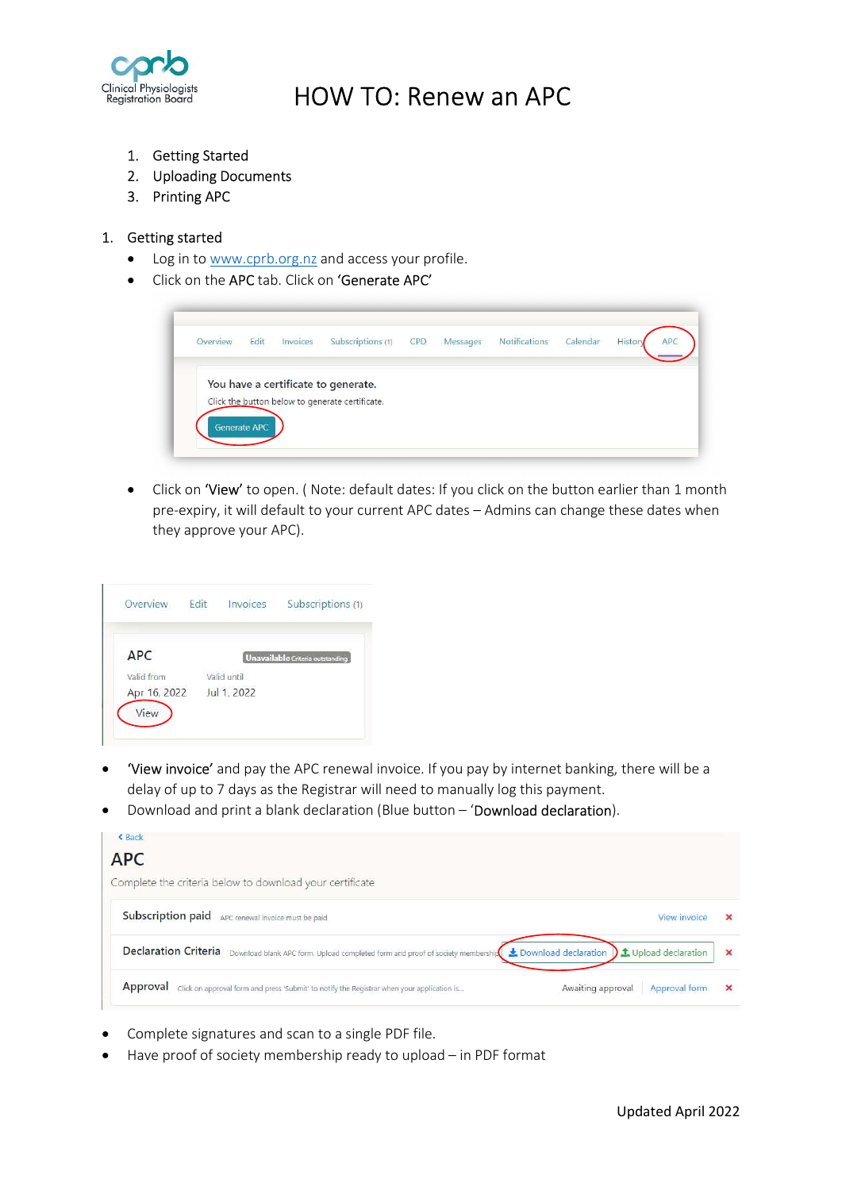

## HOW TO: Renew an APC

- 1. Getting Started
- 2. Uploading Documents
- 3. Printing APC

#### 1. Getting started

- Log in to www.cprb.org.nz and access your profile.
- Click on the APC tab. Click on 'Generate APC'



• Click on 'View' to open. (Note: default dates: If you click on the button earlier than 1 month pre-expiry, it will default to your current APC dates – Admins can change these dates when they approve your APC).

| Overview     | Fdit | Invoices    | Subscriptions (1)                |
|--------------|------|-------------|----------------------------------|
| <b>APC</b>   |      |             | Unavailable Criteria outstanding |
| Valid from   |      | Valid until |                                  |
| Apr 16, 2022 |      | Jul 1, 2022 |                                  |

- **'View invoice'** and pay the APC renewal invoice. If you pay by internet banking, there will be a delay of up to 7 days as the Registrar will need to manually log this payment.
- Download and print a blank declaration (Blue button 'Download declaration).



- Complete signatures and scan to a single PDF file.
- Have proof of society membership ready to upload in PDF format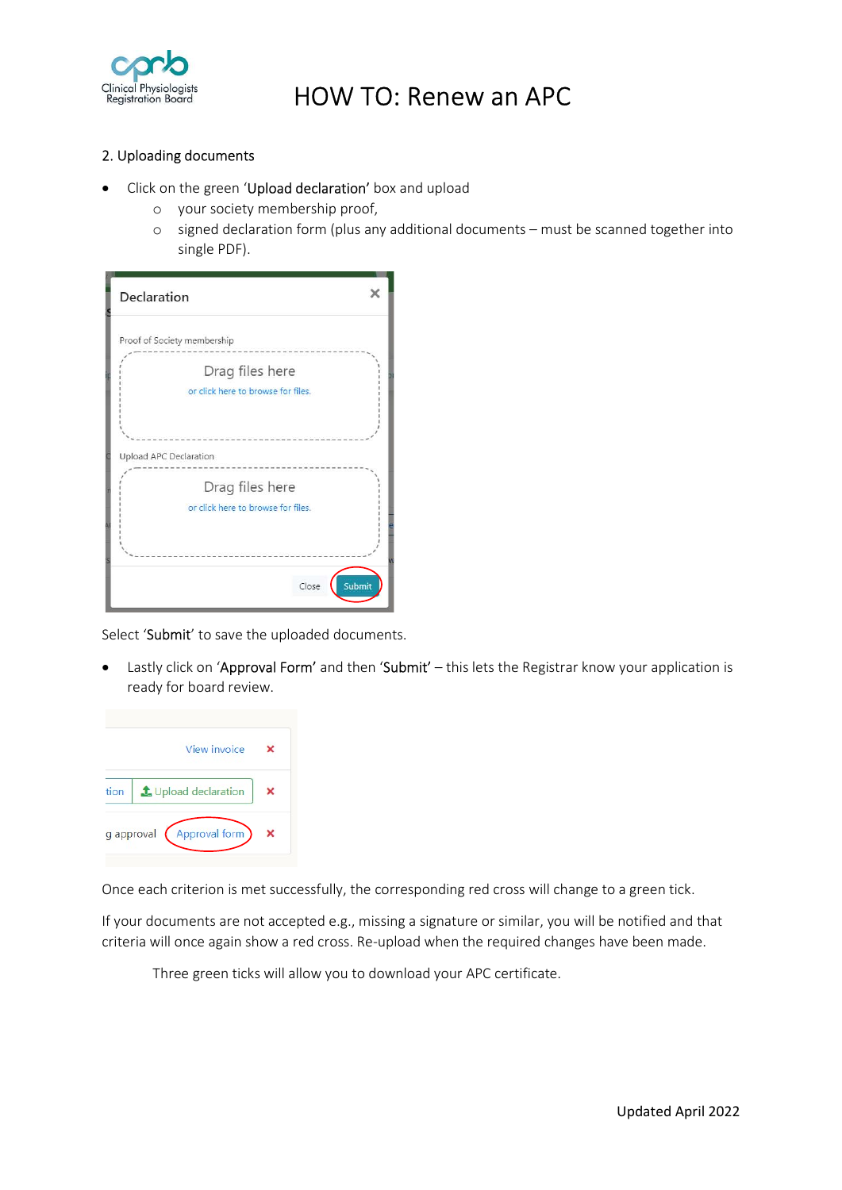

# HOW TO: Renew an APC

#### 2. Uploading documents

- Click on the green 'Upload declaration' box and upload
	- o your society membership proof,
	- o signed declaration form (plus any additional documents must be scanned together into single PDF).

| Declaration                        | ×      |
|------------------------------------|--------|
| Proof of Society membership        |        |
| Drag files here                    |        |
| or click here to browse for files. |        |
|                                    |        |
| Upload APC Declaration             |        |
| Drag files here                    |        |
| or click here to browse for files. |        |
|                                    |        |
| Close                              | Submit |

Select 'Submit' to save the uploaded documents.

• Lastly click on 'Approval Form' and then 'Submit' – this lets the Registrar know your application is ready for board review.



Once each criterion is met successfully, the corresponding red cross will change to a green tick.

If your documents are not accepted e.g., missing a signature or similar, you will be notified and that criteria will once again show a red cross. Re-upload when the required changes have been made.

Three green ticks will allow you to download your APC certificate.